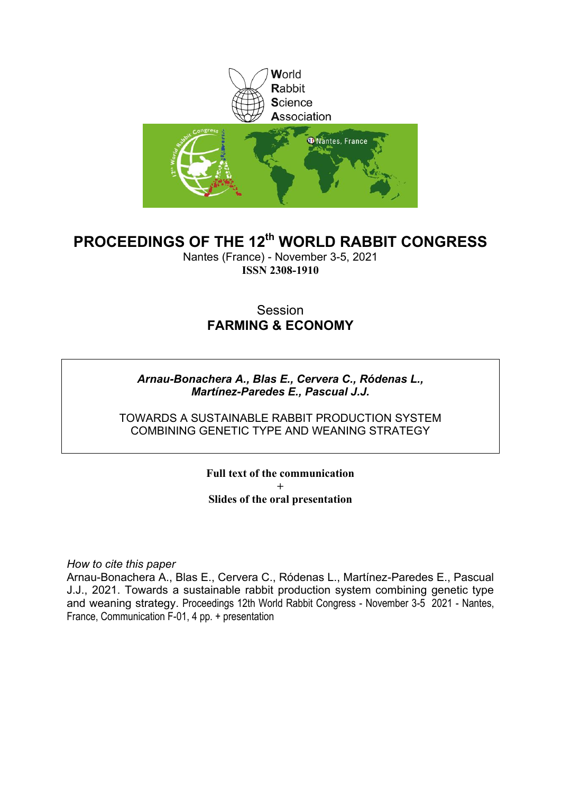

## **PROCEEDINGS OF THE 12th WORLD RABBIT CONGRESS**

Nantes (France) - November 3-5, 2021 **ISSN 2308-1910**

### Session **FARMING & ECONOMY**

### *Arnau-Bonachera A., Blas E., Cervera C., Ródenas L., Martínez-Paredes E., Pascual J.J.*

TOWARDS A SUSTAINABLE RABBIT PRODUCTION SYSTEM COMBINING GENETIC TYPE AND WEANING STRATEGY

> **Full text of the communication + Slides of the oral presentation**

*How to cite this paper*

Arnau-Bonachera A., Blas E., Cervera C., Ródenas L., Martínez-Paredes E., Pascual J.J., 2021. Towards a sustainable rabbit production system combining genetic type and weaning strategy. Proceedings 12th World Rabbit Congress - November 3-5 2021 - Nantes, France, Communication F-01, 4 pp. + presentation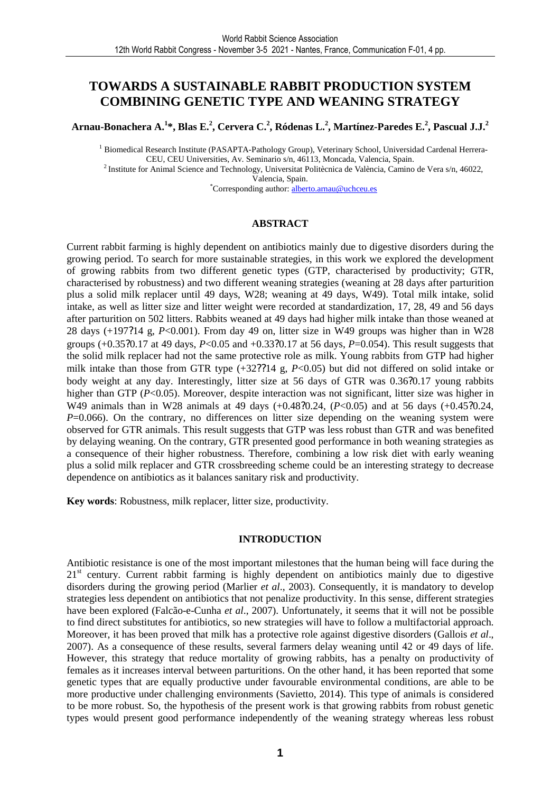### **TOWARDS A SUSTAINABLE RABBIT PRODUCTION SYSTEM COMBINING GENETIC TYPE AND WEANING STRATEGY**

**Arnau-Bonachera A.<sup>1</sup> \*, Blas E.<sup>2</sup> , Cervera C.<sup>2</sup> , Ródenas L.<sup>2</sup> , Martínez-Paredes E.<sup>2</sup> , Pascual J.J.<sup>2</sup>**

<sup>1</sup> Biomedical Research Institute (PASAPTA-Pathology Group), Veterinary School, Universidad Cardenal Herrera-CEU, CEU Universities, Av. Seminario s/n, 46113, Moncada, Valencia, Spain.

<sup>2</sup>Institute for Animal Science and Technology, Universitat Politècnica de València, Camino de Vera s/n, 46022, Valencia, Spain.

\*Corresponding author: alberto.arnau@uchceu.es

### **ABSTRACT**

Current rabbit farming is highly dependent on antibiotics mainly due to digestive disorders during the growing period. To search for more sustainable strategies, in this work we explored the development of growing rabbits from two different genetic types (GTP, characterised by productivity; GTR, characterised by robustness) and two different weaning strategies (weaning at 28 days after parturition plus a solid milk replacer until 49 days, W28; weaning at 49 days, W49). Total milk intake, solid intake, as well as litter size and litter weight were recorded at standardization, 17, 28, 49 and 56 days after parturition on 502 litters. Rabbits weaned at 49 days had higher milk intake than those weaned at 28 days (+197?14 g, *P*<0.001). From day 49 on, litter size in W49 groups was higher than in W28 groups (+0.35?0.17 at 49 days, *P*<0.05 and +0.33?0.17 at 56 days, *P*=0.054). This result suggests that the solid milk replacer had not the same protective role as milk. Young rabbits from GTP had higher milk intake than those from GTR type (+32??14 g, *P*<0.05) but did not differed on solid intake or body weight at any day. Interestingly, litter size at 56 days of GTR was 0.36?0.17 young rabbits higher than GTP (*P*<0.05). Moreover, despite interaction was not significant, litter size was higher in W49 animals than in W28 animals at 49 days (+0.48?0.24, (P<0.05) and at 56 days (+0.45?0.24, *P*=0.066). On the contrary, no differences on litter size depending on the weaning system were observed for GTR animals. This result suggests that GTP was less robust than GTR and was benefited by delaying weaning. On the contrary, GTR presented good performance in both weaning strategies as a consequence of their higher robustness. Therefore, combining a low risk diet with early weaning plus a solid milk replacer and GTR crossbreeding scheme could be an interesting strategy to decrease dependence on antibiotics as it balances sanitary risk and productivity.

**Key words**: Robustness, milk replacer, litter size, productivity.

### **INTRODUCTION**

Antibiotic resistance is one of the most important milestones that the human being will face during the  $21<sup>st</sup>$  century. Current rabbit farming is highly dependent on antibiotics mainly due to digestive disorders during the growing period (Marlier *et al*., 2003). Consequently, it is mandatory to develop strategies less dependent on antibiotics that not penalize productivity. In this sense, different strategies have been explored (Falcão-e-Cunha *et al*., 2007). Unfortunately, it seems that it will not be possible to find direct substitutes for antibiotics, so new strategies will have to follow a multifactorial approach. Moreover, it has been proved that milk has a protective role against digestive disorders (Gallois *et al*., 2007). As a consequence of these results, several farmers delay weaning until 42 or 49 days of life. However, this strategy that reduce mortality of growing rabbits, has a penalty on productivity of females as it increases interval between parturitions. On the other hand, it has been reported that some genetic types that are equally productive under favourable environmental conditions, are able to be more productive under challenging environments (Savietto, 2014). This type of animals is considered to be more robust. So, the hypothesis of the present work is that growing rabbits from robust genetic types would present good performance independently of the weaning strategy whereas less robust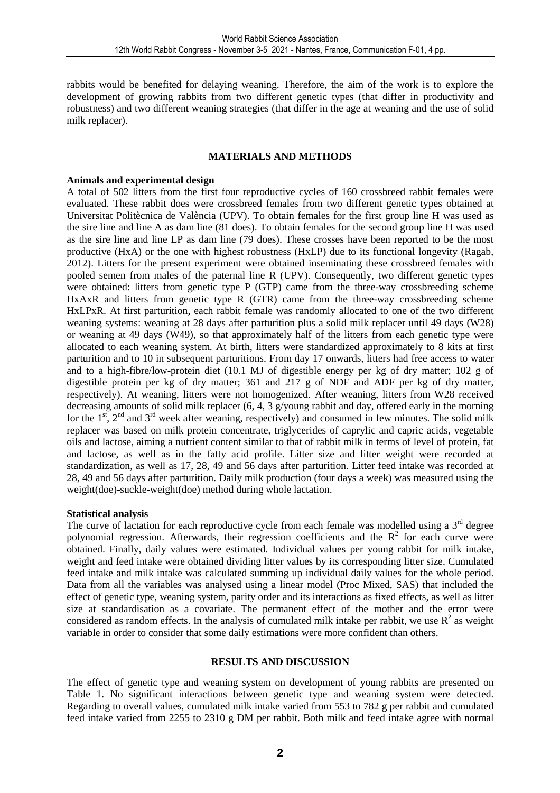rabbits would be benefited for delaying weaning. Therefore, the aim of the work is to explore the development of growing rabbits from two different genetic types (that differ in productivity and robustness) and two different weaning strategies (that differ in the age at weaning and the use of solid milk replacer).

### **MATERIALS AND METHODS**

### **Animals and experimental design**

A total of 502 litters from the first four reproductive cycles of 160 crossbreed rabbit females were evaluated. These rabbit does were crossbreed females from two different genetic types obtained at Universitat Politècnica de València (UPV). To obtain females for the first group line H was used as the sire line and line A as dam line (81 does). To obtain females for the second group line H was used as the sire line and line LP as dam line (79 does). These crosses have been reported to be the most productive (HxA) or the one with highest robustness (HxLP) due to its functional longevity (Ragab, 2012). Litters for the present experiment were obtained inseminating these crossbreed females with pooled semen from males of the paternal line R (UPV). Consequently, two different genetic types were obtained: litters from genetic type P (GTP) came from the three-way crossbreeding scheme HxAxR and litters from genetic type R (GTR) came from the three-way crossbreeding scheme HxLPxR. At first parturition, each rabbit female was randomly allocated to one of the two different weaning systems: weaning at 28 days after parturition plus a solid milk replacer until 49 days (W28) or weaning at 49 days (W49), so that approximately half of the litters from each genetic type were allocated to each weaning system. At birth, litters were standardized approximately to 8 kits at first parturition and to 10 in subsequent parturitions. From day 17 onwards, litters had free access to water and to a high-fibre/low-protein diet (10.1 MJ of digestible energy per kg of dry matter; 102 g of digestible protein per kg of dry matter; 361 and 217 g of NDF and ADF per kg of dry matter, respectively). At weaning, litters were not homogenized. After weaning, litters from W28 received decreasing amounts of solid milk replacer (6, 4, 3 g/young rabbit and day, offered early in the morning for the  $1<sup>st</sup>$ ,  $2<sup>nd</sup>$  and  $3<sup>rd</sup>$  week after weaning, respectively) and consumed in few minutes. The solid milk replacer was based on milk protein concentrate, triglycerides of caprylic and capric acids, vegetable oils and lactose, aiming a nutrient content similar to that of rabbit milk in terms of level of protein, fat and lactose, as well as in the fatty acid profile. Litter size and litter weight were recorded at standardization, as well as 17, 28, 49 and 56 days after parturition. Litter feed intake was recorded at 28, 49 and 56 days after parturition. Daily milk production (four days a week) was measured using the weight(doe)-suckle-weight(doe) method during whole lactation.

### **Statistical analysis**

The curve of lactation for each reproductive cycle from each female was modelled using a  $3<sup>rd</sup>$  degree polynomial regression. Afterwards, their regression coefficients and the  $R^2$  for each curve were obtained. Finally, daily values were estimated. Individual values per young rabbit for milk intake, weight and feed intake were obtained dividing litter values by its corresponding litter size. Cumulated feed intake and milk intake was calculated summing up individual daily values for the whole period. Data from all the variables was analysed using a linear model (Proc Mixed, SAS) that included the effect of genetic type, weaning system, parity order and its interactions as fixed effects, as well as litter size at standardisation as a covariate. The permanent effect of the mother and the error were considered as random effects. In the analysis of cumulated milk intake per rabbit, we use  $R^2$  as weight variable in order to consider that some daily estimations were more confident than others.

### **RESULTS AND DISCUSSION**

The effect of genetic type and weaning system on development of young rabbits are presented on Table 1. No significant interactions between genetic type and weaning system were detected. Regarding to overall values, cumulated milk intake varied from 553 to 782 g per rabbit and cumulated feed intake varied from 2255 to 2310 g DM per rabbit. Both milk and feed intake agree with normal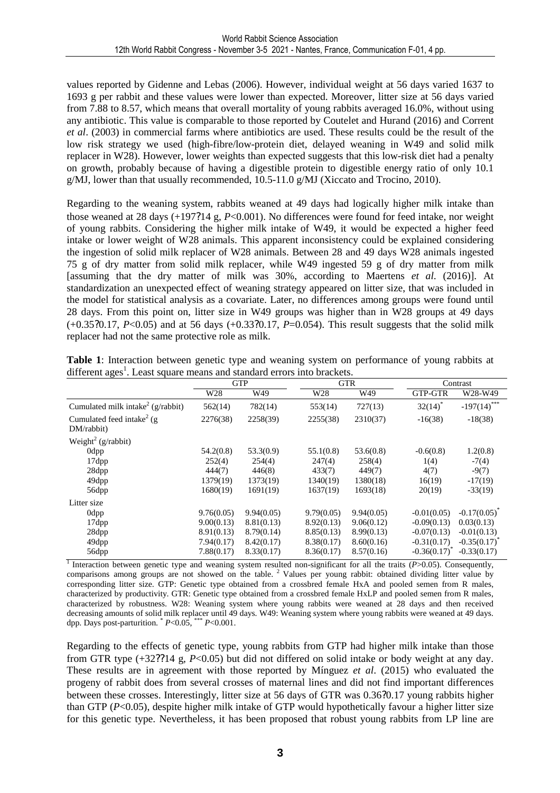values reported by Gidenne and Lebas (2006). However, individual weight at 56 days varied 1637 to 1693 g per rabbit and these values were lower than expected. Moreover, litter size at 56 days varied from 7.88 to 8.57, which means that overall mortality of young rabbits averaged 16.0%, without using any antibiotic. This value is comparable to those reported by Coutelet and Hurand (2016) and Corrent *et al*. (2003) in commercial farms where antibiotics are used. These results could be the result of the low risk strategy we used (high-fibre/low-protein diet, delayed weaning in W49 and solid milk replacer in W28). However, lower weights than expected suggests that this low-risk diet had a penalty on growth, probably because of having a digestible protein to digestible energy ratio of only 10.1 g/MJ, lower than that usually recommended, 10.5-11.0 g/MJ (Xiccato and Trocino, 2010).

Regarding to the weaning system, rabbits weaned at 49 days had logically higher milk intake than those weaned at 28 days (+197?14 g, *P*<0.001). No differences were found for feed intake, nor weight of young rabbits. Considering the higher milk intake of W49, it would be expected a higher feed intake or lower weight of W28 animals. This apparent inconsistency could be explained considering the ingestion of solid milk replacer of W28 animals. Between 28 and 49 days W28 animals ingested 75 g of dry matter from solid milk replacer, while W49 ingested 59 g of dry matter from milk [assuming that the dry matter of milk was 30%, according to Maertens *et al*. (2016)]. At standardization an unexpected effect of weaning strategy appeared on litter size, that was included in the model for statistical analysis as a covariate. Later, no differences among groups were found until 28 days. From this point on, litter size in W49 groups was higher than in W28 groups at 49 days  $(+0.3520.17, P<0.05)$  and at 56 days  $(+0.3320.17, P=0.054)$ . This result suggests that the solid milk replacer had not the same protective role as milk.

|                                                      | <b>GTP</b>      |            | <b>GTR</b> |            | Contrast          |                   |
|------------------------------------------------------|-----------------|------------|------------|------------|-------------------|-------------------|
|                                                      | W <sub>28</sub> | W49        | W28        | W49        | <b>GTP-GTR</b>    | W28-W49           |
| Cumulated milk intake <sup>2</sup> (g/rabbit)        | 562(14)         | 782(14)    | 553(14)    | 727(13)    | $32(14)^*$        | $-197(14)$ ***    |
| Cumulated feed intake <sup>2</sup> (g)<br>DM/rabbit) | 2276(38)        | 2258(39)   | 2255(38)   | 2310(37)   | $-16(38)$         | $-18(38)$         |
| Weight <sup>2</sup> (g/rabbit)                       |                 |            |            |            |                   |                   |
| 0dpp                                                 | 54.2(0.8)       | 53.3(0.9)  | 55.1(0.8)  | 53.6(0.8)  | $-0.6(0.8)$       | 1.2(0.8)          |
| 17dpp                                                | 252(4)          | 254(4)     | 247(4)     | 258(4)     | 1(4)              | $-7(4)$           |
| 28dpp                                                | 444(7)          | 446(8)     | 433(7)     | 449(7)     | 4(7)              | $-9(7)$           |
| 49dpp                                                | 1379(19)        | 1373(19)   | 1340(19)   | 1380(18)   | 16(19)            | $-17(19)$         |
| 56dpp                                                | 1680(19)        | 1691(19)   | 1637(19)   | 1693(18)   | 20(19)            | $-33(19)$         |
| Litter size                                          |                 |            |            |            |                   |                   |
| Odpp                                                 | 9.76(0.05)      | 9.94(0.05) | 9.79(0.05) | 9.94(0.05) | $-0.01(0.05)$     | $-0.17(0.05)$     |
| 17dpp                                                | 9.00(0.13)      | 8.81(0.13) | 8.92(0.13) | 9.06(0.12) | $-0.09(0.13)$     | 0.03(0.13)        |
| 28dpp                                                | 8.91(0.13)      | 8.79(0.14) | 8.85(0.13) | 8.99(0.13) | $-0.07(0.13)$     | $-0.01(0.13)$     |
| 49dpp                                                | 7.94(0.17)      | 8.42(0.17) | 8.38(0.17) | 8.60(0.16) | $-0.31(0.17)$     | $-0.35(0.17)^{*}$ |
| 56dpp                                                | 7.88(0.17)      | 8.33(0.17) | 8.36(0.17) | 8.57(0.16) | $-0.36(0.17)^{*}$ | $-0.33(0.17)$     |

**Table 1**: Interaction between genetic type and weaning system on performance of young rabbits at different ages<sup>1</sup>. Least square means and standard errors into brackets.

<sup>1</sup> Interaction between genetic type and weaning system resulted non-significant for all the traits  $(P>0.05)$ . Consequently, comparisons among groups are not showed on the table.<sup>2</sup> Values per young rabbit: obtained dividing litter value by corresponding litter size. GTP: Genetic type obtained from a crossbred female HxA and pooled semen from R males, characterized by productivity. GTR: Genetic type obtained from a crossbred female HxLP and pooled semen from R males, characterized by robustness. W28: Weaning system where young rabbits were weaned at 28 days and then received decreasing amounts of solid milk replacer until 49 days. W49: Weaning system where young rabbits were weaned at 49 days. dpp. Days post-parturition.  $P<0.05$ ,  $\rightarrow P<0.001$ .

Regarding to the effects of genetic type, young rabbits from GTP had higher milk intake than those from GTR type (+32??14 g, *P*<0.05) but did not differed on solid intake or body weight at any day. These results are in agreement with those reported by Mínguez *et al*. (2015) who evaluated the progeny of rabbit does from several crosses of maternal lines and did not find important differences between these crosses. Interestingly, litter size at 56 days of GTR was 0.36?0.17 young rabbits higher than GTP (*P*<0.05), despite higher milk intake of GTP would hypothetically favour a higher litter size for this genetic type. Nevertheless, it has been proposed that robust young rabbits from LP line are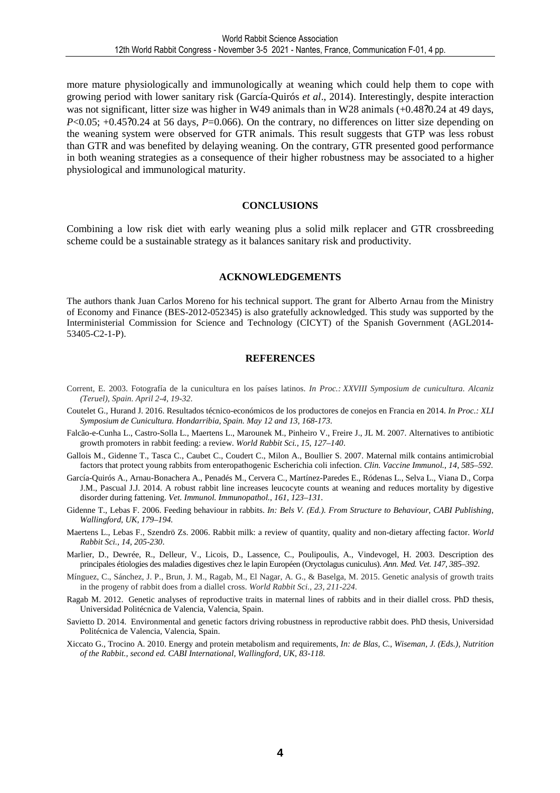more mature physiologically and immunologically at weaning which could help them to cope with growing period with lower sanitary risk (García-Quirós *et al*., 2014). Interestingly, despite interaction was not significant, litter size was higher in W49 animals than in W28 animals (+0.48?0.24 at 49 days,  $P<0.05$ ; +0.45?0.24 at 56 days,  $P=0.066$ ). On the contrary, no differences on litter size depending on the weaning system were observed for GTR animals. This result suggests that GTP was less robust than GTR and was benefited by delaying weaning. On the contrary, GTR presented good performance in both weaning strategies as a consequence of their higher robustness may be associated to a higher physiological and immunological maturity.

### **CONCLUSIONS**

Combining a low risk diet with early weaning plus a solid milk replacer and GTR crossbreeding scheme could be a sustainable strategy as it balances sanitary risk and productivity.

### **ACKNOWLEDGEMENTS**

The authors thank Juan Carlos Moreno for his technical support. The grant for Alberto Arnau from the Ministry of Economy and Finance (BES-2012-052345) is also gratefully acknowledged. This study was supported by the Interministerial Commission for Science and Technology (CICYT) of the Spanish Government (AGL2014- 53405-C2-1-P).

### **REFERENCES**

- Corrent, E. 2003. Fotografía de la cunicultura en los países latinos. *In Proc.: XXVIII Symposium de cunicultura. Alcaniz (Teruel), Spain. April 2-4, 19-32*.
- Coutelet G., Hurand J. 2016. Resultados técnico-económicos de los productores de conejos en Francia en 2014. *In Proc.: XLI Symposium de Cunicultura. Hondarribia, Spain. May 12 and 13, 168-173.*
- Falcão-e-Cunha L., Castro-Solla L., Maertens L., Marounek M., Pinheiro V., Freire J., JL M. 2007. Alternatives to antibiotic growth promoters in rabbit feeding: a review. *World Rabbit Sci.*, *15*, *127*–*140*.
- Gallois M., Gidenne T., Tasca C., Caubet C., Coudert C., Milon A., Boullier S. 2007. Maternal milk contains antimicrobial factors that protect young rabbits from enteropathogenic Escherichia coli infection. *Clin. Vaccine Immunol.*, *14*, *585*–*592*.
- García-Quirós A., Arnau-Bonachera A., Penadés M., Cervera C., Martínez-Paredes E., Ródenas L., Selva L., Viana D., Corpa J.M., Pascual J.J. 2014. A robust rabbit line increases leucocyte counts at weaning and reduces mortality by digestive disorder during fattening. *Vet. Immunol. Immunopathol.*, *161*, *123*–*131*.
- Gidenne T., Lebas F. 2006. Feeding behaviour in rabbits. *In: Bels V. (Ed.). From Structure to Behaviour, CABI Publishing, Wallingford, UK, 179–194.*
- Maertens L., Lebas F., Szendrö Zs. 2006. Rabbit milk: a review of quantity, quality and non-dietary affecting factor. *World Rabbit Sci., 14, 205-230*.
- Marlier, D., Dewrée, R., Delleur, V., Licois, D., Lassence, C., Poulipoulis, A., Vindevogel, H. 2003. Description des principales étiologies des maladies digestives chez le lapin Européen (Oryctolagus cuniculus). *Ann. Med. Vet. 147, 385–392*.
- Mínguez, C., Sánchez, J. P., Brun, J. M., Ragab, M., El Nagar, A. G., & Baselga, M. 2015. Genetic analysis of growth traits in the progeny of rabbit does from a diallel cross. *World Rabbit Sci., 23, 211-224*.
- Ragab M. 2012. Genetic analyses of reproductive traits in maternal lines of rabbits and in their diallel cross. PhD thesis, Universidad Politécnica de Valencia, Valencia, Spain.
- Savietto D. 2014. Environmental and genetic factors driving robustness in reproductive rabbit does. PhD thesis, Universidad Politécnica de Valencia, Valencia, Spain.
- Xiccato G., Trocino A. 2010. Energy and protein metabolism and requirements, *In: de Blas, C., Wiseman, J. (Eds.), Nutrition of the Rabbit., second ed. CABI International, Wallingford, UK, 83-118.*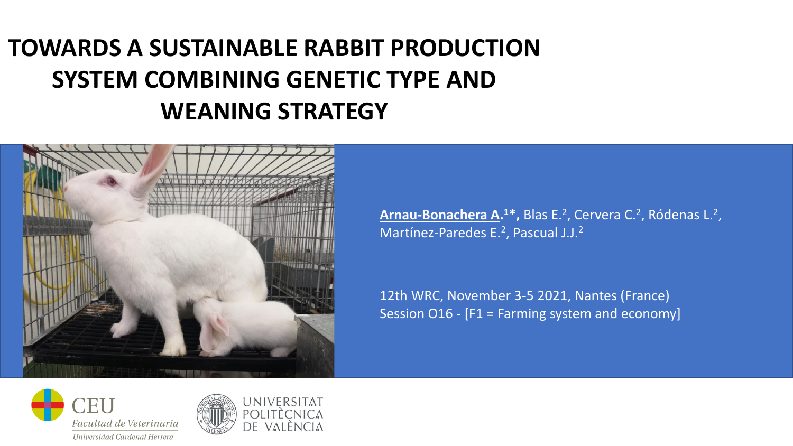## **TOWARDS A SUSTAINABLE RABBIT PRODUCTION SYSTEM COMBINING GENETIC TYPE AND WEANING STRATEGY**



**Arnau-Bonachera A. <sup>1</sup>\*,** Blas E.<sup>2</sup> , Cervera C.<sup>2</sup> , Ródenas L.<sup>2</sup> , Martínez-Paredes E.<sup>2</sup>, Pascual J.J.<sup>2</sup>

12th WRC, November 3-5 2021, Nantes (France) Session O16 - [F1 = Farming system and economy]



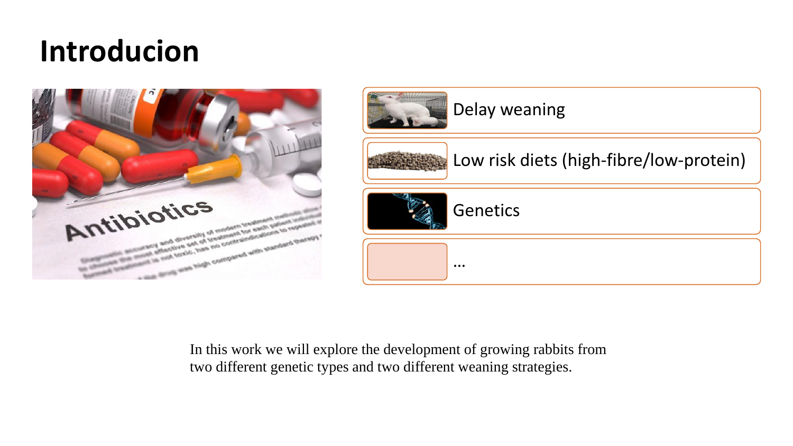# **Introducion**



In this work we will explore the development of growing rabbits from two different genetic types and two different weaning strategies.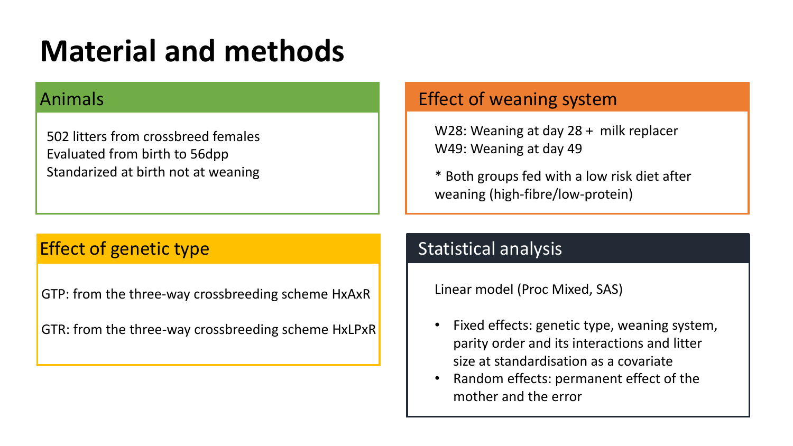# **Material and methods**

502 litters from crossbreed females Evaluated from birth to 56dpp Standarized at birth not at weaning

## Animals **Effect of weaning system**

W28: Weaning at day 28 + milk replacer W49: Weaning at day 49

\* Both groups fed with a low risk diet after weaning (high-fibre/low-protein)

## **Effect of genetic type Statistical analysis Statistical analysis**

GTP: from the three-way crossbreeding scheme HxAxR

GTR: from the three-way crossbreeding scheme HxLPxR

Linear model (Proc Mixed, SAS)

- Fixed effects: genetic type, weaning system, parity order and its interactions and litter size at standardisation as a covariate
- Random effects: permanent effect of the mother and the error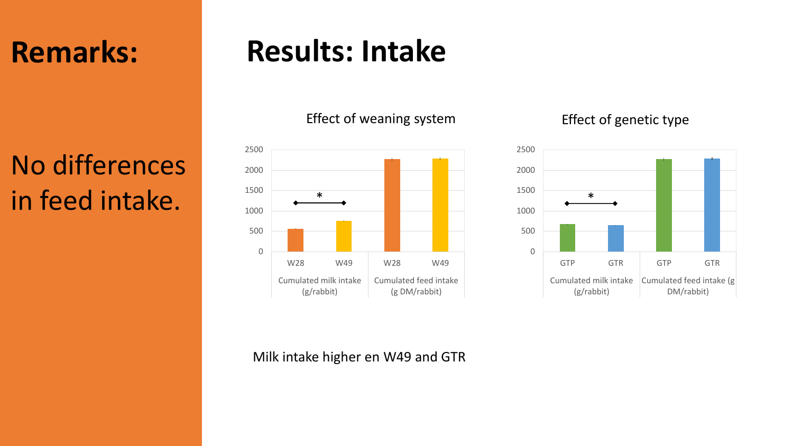## **Remarks:**

# No differences in feed intake.

# **Results: Intake**

## Effect of weaning system Effect of genetic type





### Milk intake higher en W49 and GTR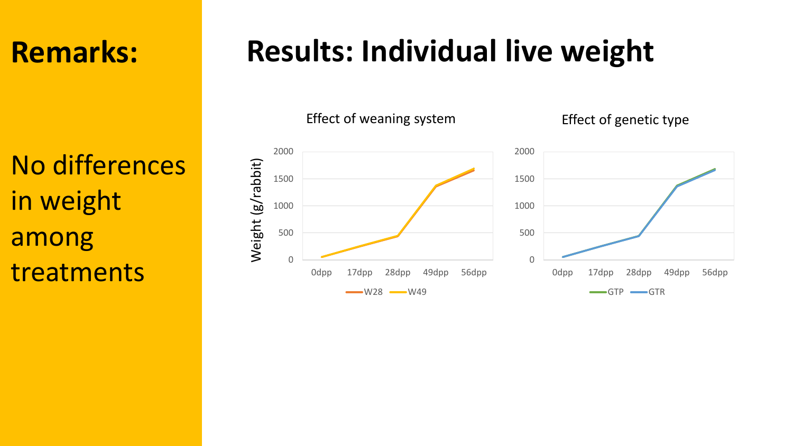## **Remarks:**

No differences in weight among treatments

# **Results: Individual live weight**

Effect of weaning system Effect of genetic type



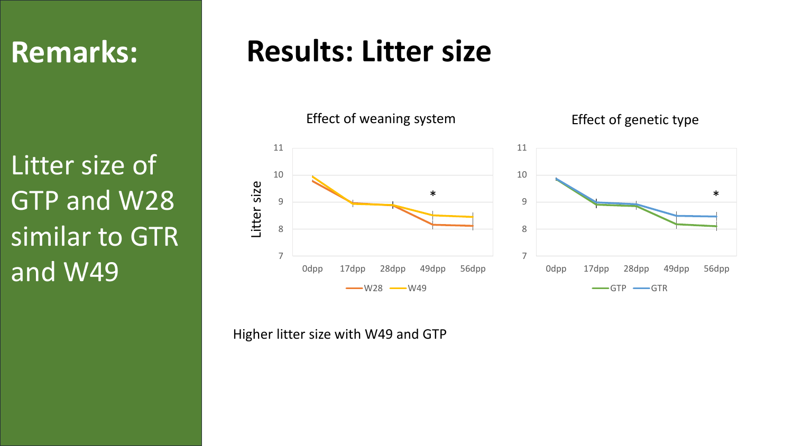## **Remarks:**

Litter size of GTP and W28 similar to GTR and W49

## **Results: Litter size**

Effect of weaning system Effect of genetic type





Higher litter size with W49 and GTP